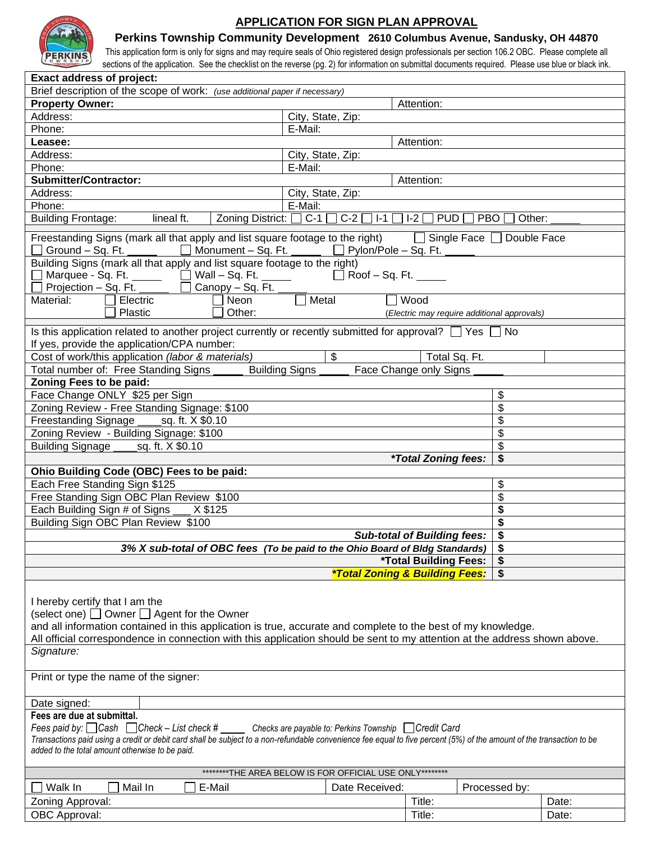

### **APPLICATION FOR SIGN PLAN APPROVAL**

**Perkins Township Community Development 2610 Columbus Avenue, Sandusky, OH 44870**

This application form is only for signs and may require seals of Ohio registered design professionals per section 106.2 OBC. Please complete all sections of the application. See the checklist on the reverse (pg. 2) for information on submittal documents required. Please use blue or black ink.

| <b>Exact address of project:</b>                                                                                                                                                                                                                                                                                                                                  |                                                         |                                             |                |  |  |
|-------------------------------------------------------------------------------------------------------------------------------------------------------------------------------------------------------------------------------------------------------------------------------------------------------------------------------------------------------------------|---------------------------------------------------------|---------------------------------------------|----------------|--|--|
| Brief description of the scope of work: (use additional paper if necessary)                                                                                                                                                                                                                                                                                       |                                                         |                                             |                |  |  |
| <b>Property Owner:</b>                                                                                                                                                                                                                                                                                                                                            |                                                         | Attention:                                  |                |  |  |
| Address:                                                                                                                                                                                                                                                                                                                                                          | City, State, Zip:                                       |                                             |                |  |  |
| Phone:                                                                                                                                                                                                                                                                                                                                                            | E-Mail:                                                 |                                             |                |  |  |
| Leasee:                                                                                                                                                                                                                                                                                                                                                           |                                                         | Attention:                                  |                |  |  |
| Address:                                                                                                                                                                                                                                                                                                                                                          | City, State, Zip:                                       |                                             |                |  |  |
| Phone:                                                                                                                                                                                                                                                                                                                                                            | E-Mail:                                                 |                                             |                |  |  |
| <b>Submitter/Contractor:</b>                                                                                                                                                                                                                                                                                                                                      |                                                         | Attention:                                  |                |  |  |
| Address:                                                                                                                                                                                                                                                                                                                                                          |                                                         |                                             |                |  |  |
|                                                                                                                                                                                                                                                                                                                                                                   | City, State, Zip:                                       |                                             |                |  |  |
| Phone:                                                                                                                                                                                                                                                                                                                                                            | E-Mail:                                                 |                                             |                |  |  |
| lineal ft.<br>Zoning District: [<br><b>Building Frontage:</b>                                                                                                                                                                                                                                                                                                     | $C-1$<br>$C-2$<br>$ I - 1 $                             | $I-2$<br><b>PUD</b><br><b>PBO</b><br>Other: |                |  |  |
| Freestanding Signs (mark all that apply and list square footage to the right)<br>$\Box$ Single Face $\Box$ Double Face<br>Ground $-$ Sq. Ft. $-$<br>$\Box$ Monument – Sq. Ft.<br>$\Box$ Pylon/Pole – Sq. Ft.                                                                                                                                                      |                                                         |                                             |                |  |  |
| Building Signs (mark all that apply and list square footage to the right)                                                                                                                                                                                                                                                                                         |                                                         |                                             |                |  |  |
| □ Marquee - Sq. Ft. ______  □ Wall – Sq. Ft. _____                                                                                                                                                                                                                                                                                                                | $\Box$ Roof – Sq. Ft.                                   |                                             |                |  |  |
| Projection – Sq. Ft.<br>Canopy - Sq. Ft.                                                                                                                                                                                                                                                                                                                          |                                                         |                                             |                |  |  |
| Material:<br>Electric<br>Neon                                                                                                                                                                                                                                                                                                                                     | Metal                                                   | $\Box$ Wood                                 |                |  |  |
| Plastic<br>Other:                                                                                                                                                                                                                                                                                                                                                 |                                                         | (Electric may require additional approvals) |                |  |  |
|                                                                                                                                                                                                                                                                                                                                                                   |                                                         |                                             |                |  |  |
| Is this application related to another project currently or recently submitted for approval? $\Box$ Yes $\Box$ No<br>If yes, provide the application/CPA number:                                                                                                                                                                                                  |                                                         |                                             |                |  |  |
| Cost of work/this application (labor & materials)                                                                                                                                                                                                                                                                                                                 | $\frac{1}{2}$                                           | Total Sq. Ft.                               |                |  |  |
| Total number of: Free Standing Signs                                                                                                                                                                                                                                                                                                                              | <b>Building Signs</b>                                   | Face Change only Signs                      |                |  |  |
| Zoning Fees to be paid:                                                                                                                                                                                                                                                                                                                                           |                                                         |                                             |                |  |  |
| Face Change ONLY \$25 per Sign                                                                                                                                                                                                                                                                                                                                    |                                                         | \$                                          |                |  |  |
| Zoning Review - Free Standing Signage: \$100                                                                                                                                                                                                                                                                                                                      |                                                         | \$                                          |                |  |  |
| Freestanding Signage<br>sq. ft. X \$0.10                                                                                                                                                                                                                                                                                                                          |                                                         | \$                                          |                |  |  |
| Zoning Review - Building Signage: \$100                                                                                                                                                                                                                                                                                                                           |                                                         | \$                                          |                |  |  |
| Building Signage ____<br>_sq. ft. X \$0.10                                                                                                                                                                                                                                                                                                                        |                                                         | \$                                          |                |  |  |
|                                                                                                                                                                                                                                                                                                                                                                   |                                                         | <i><b>*Total Zoning fees:</b></i><br>\$     |                |  |  |
| Ohio Building Code (OBC) Fees to be paid:                                                                                                                                                                                                                                                                                                                         |                                                         |                                             |                |  |  |
|                                                                                                                                                                                                                                                                                                                                                                   |                                                         |                                             |                |  |  |
| Each Free Standing Sign \$125                                                                                                                                                                                                                                                                                                                                     |                                                         | \$                                          |                |  |  |
| Free Standing Sign OBC Plan Review \$100                                                                                                                                                                                                                                                                                                                          |                                                         | \$                                          |                |  |  |
| Each Building Sign # of Signs<br>X \$125                                                                                                                                                                                                                                                                                                                          |                                                         | \$                                          |                |  |  |
| Building Sign OBC Plan Review \$100                                                                                                                                                                                                                                                                                                                               |                                                         | \$                                          |                |  |  |
|                                                                                                                                                                                                                                                                                                                                                                   |                                                         | <b>Sub-total of Building fees:</b><br>\$    |                |  |  |
| 3% X sub-total of OBC fees (To be paid to the Ohio Board of Bldg Standards)                                                                                                                                                                                                                                                                                       |                                                         | \$                                          |                |  |  |
|                                                                                                                                                                                                                                                                                                                                                                   |                                                         | *Total Building Fees:<br>\$                 |                |  |  |
|                                                                                                                                                                                                                                                                                                                                                                   |                                                         | *Total Zoning & Building Fees:              |                |  |  |
|                                                                                                                                                                                                                                                                                                                                                                   |                                                         |                                             |                |  |  |
| I hereby certify that I am the<br>$(select one)$ Owner $\Box$ Agent for the Owner<br>and all information contained in this application is true, accurate and complete to the best of my knowledge.<br>All official correspondence in connection with this application should be sent to my attention at the address shown above.<br>Signature:                    |                                                         |                                             |                |  |  |
|                                                                                                                                                                                                                                                                                                                                                                   |                                                         |                                             |                |  |  |
| Print or type the name of the signer:                                                                                                                                                                                                                                                                                                                             |                                                         |                                             |                |  |  |
|                                                                                                                                                                                                                                                                                                                                                                   |                                                         |                                             |                |  |  |
| Date signed:                                                                                                                                                                                                                                                                                                                                                      |                                                         |                                             |                |  |  |
| Fees are due at submittal.<br>Fees paid by: □ Cash □ Check – List check # _____ Checks are payable to: Perkins Township □ Credit Card<br>Transactions paid using a credit or debit card shall be subject to a non-refundable convenience fee equal to five percent (5%) of the amount of the transaction to be<br>added to the total amount otherwise to be paid. |                                                         |                                             |                |  |  |
|                                                                                                                                                                                                                                                                                                                                                                   | ********THE AREA BELOW IS FOR OFFICIAL USE ONLY******** |                                             |                |  |  |
|                                                                                                                                                                                                                                                                                                                                                                   |                                                         |                                             |                |  |  |
| Walk In<br>Mail In<br>E-Mail                                                                                                                                                                                                                                                                                                                                      | Date Received:                                          | Processed by:                               |                |  |  |
| Zoning Approval:<br>OBC Approval:                                                                                                                                                                                                                                                                                                                                 |                                                         | Title:<br>Title:                            | Date:<br>Date: |  |  |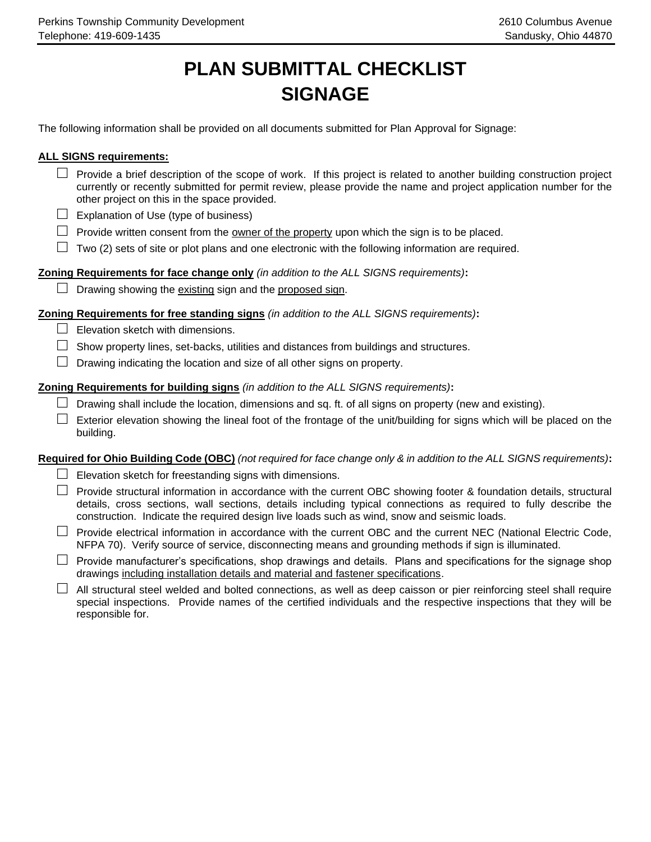# **PLAN SUBMITTAL CHECKLIST SIGNAGE**

The following information shall be provided on all documents submitted for Plan Approval for Signage:

#### **ALL SIGNS requirements:**

- □ Provide a brief description of the scope of work. If this project is related to another building construction project currently or recently submitted for permit review, please provide the name and project application number for the other project on this in the space provided.
- **□** Explanation of Use (type of business)
- $\Box$  Provide written consent from the <u>owner of the property</u> upon which the sign is to be placed.
- **□** Two (2) sets of site or plot plans and one electronic with the following information are required.

#### **Zoning Requirements for face change only** *(in addition to the ALL SIGNS requirements)***:**

**□** Drawing showing the existing sign and the proposed sign.

#### **Zoning Requirements for free standing signs** *(in addition to the ALL SIGNS requirements)***:**

- **□** Elevation sketch with dimensions.
- **□** Show property lines, set-backs, utilities and distances from buildings and structures.
- **□** Drawing indicating the location and size of all other signs on property.

#### **Zoning Requirements for building signs** *(in addition to the ALL SIGNS requirements)***:**

- **□** Drawing shall include the location, dimensions and sq. ft. of all signs on property (new and existing).
- **□** Exterior elevation showing the lineal foot of the frontage of the unit/building for signs which will be placed on the building.

### **Required for Ohio Building Code (OBC)** *(not required for face change only & in addition to the ALL SIGNS requirements)***:**

- **□** Elevation sketch for freestanding signs with dimensions.
- **□** Provide structural information in accordance with the current OBC showing footer & foundation details, structural details, cross sections, wall sections, details including typical connections as required to fully describe the construction. Indicate the required design live loads such as wind, snow and seismic loads.
- **□** Provide electrical information in accordance with the current OBC and the current NEC (National Electric Code, NFPA 70). Verify source of service, disconnecting means and grounding methods if sign is illuminated.
- **□** Provide manufacturer's specifications, shop drawings and details. Plans and specifications for the signage shop drawings including installation details and material and fastener specifications.
- **□** All structural steel welded and bolted connections, as well as deep caisson or pier reinforcing steel shall require special inspections. Provide names of the certified individuals and the respective inspections that they will be responsible for.